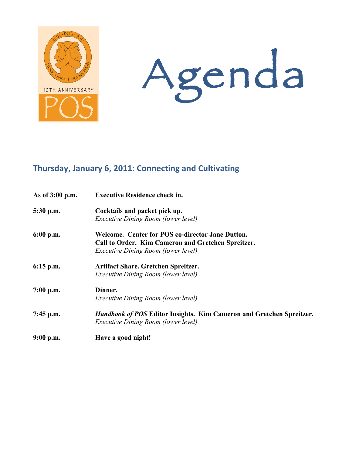



# Thursday, January 6, 2011: Connecting and Cultivating

| As of 3:00 p.m. | <b>Executive Residence check in.</b>                                                                                                          |
|-----------------|-----------------------------------------------------------------------------------------------------------------------------------------------|
| 5:30 p.m.       | Cocktails and packet pick up.<br>Executive Dining Room (lower level)                                                                          |
| 6:00 p.m.       | Welcome. Center for POS co-director Jane Dutton.<br>Call to Order. Kim Cameron and Gretchen Spreitzer.<br>Executive Dining Room (lower level) |
| $6:15$ p.m.     | Artifact Share. Gretchen Spreitzer.<br>Executive Dining Room (lower level)                                                                    |
| $7:00$ p.m.     | Dinner.<br><i>Executive Dining Room (lower level)</i>                                                                                         |
| $7:45$ p.m.     | <b>Handbook of POS Editor Insights. Kim Cameron and Gretchen Spreitzer.</b><br>Executive Dining Room (lower level)                            |
| $9:00$ p.m.     | Have a good night!                                                                                                                            |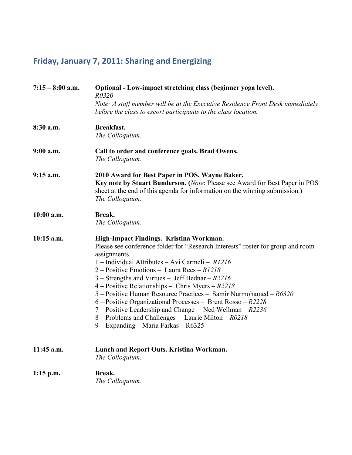# Friday, January 7, 2011: Sharing and Energizing

| $7:15 - 8:00$ a.m. | Optional - Low-impact stretching class (beginner yoga level).<br>R0320                                                                                                                                                                                                                                                                                                                                                                                                                                                                                                                                                                                                 |
|--------------------|------------------------------------------------------------------------------------------------------------------------------------------------------------------------------------------------------------------------------------------------------------------------------------------------------------------------------------------------------------------------------------------------------------------------------------------------------------------------------------------------------------------------------------------------------------------------------------------------------------------------------------------------------------------------|
|                    | Note: A staff member will be at the Executive Residence Front Desk immediately<br>before the class to escort participants to the class location.                                                                                                                                                                                                                                                                                                                                                                                                                                                                                                                       |
| 8:30 a.m.          | Breakfast.<br>The Colloquium.                                                                                                                                                                                                                                                                                                                                                                                                                                                                                                                                                                                                                                          |
|                    |                                                                                                                                                                                                                                                                                                                                                                                                                                                                                                                                                                                                                                                                        |
| $9:00$ a.m.        | Call to order and conference goals. Brad Owens.<br>The Colloquium.                                                                                                                                                                                                                                                                                                                                                                                                                                                                                                                                                                                                     |
| $9:15$ a.m.        | 2010 Award for Best Paper in POS. Wayne Baker.<br>Key note by Stuart Bunderson. (Note: Please see Award for Best Paper in POS<br>sheet at the end of this agenda for information on the winning submission.)<br>The Colloquium.                                                                                                                                                                                                                                                                                                                                                                                                                                        |
| $10:00$ a.m.       | Break.<br>The Colloquium.                                                                                                                                                                                                                                                                                                                                                                                                                                                                                                                                                                                                                                              |
| $10:15$ a.m.       | High-Impact Findings. Kristina Workman.<br>Please see conference folder for "Research Interests" roster for group and room<br>assignments.<br>1 - Individual Attributes - Avi Carmeli - $R1216$<br>2 – Positive Emotions – Laura Rees – $R1218$<br>$3$ – Strengths and Virtues – Jeff Bednar – $R2216$<br>4 – Positive Relationships – Chris Myers – $R2218$<br>$5 -$ Positive Human Resource Practices – Samir Nurmohamed – $R6320$<br>$6 -$ Positive Organizational Processes – Brent Rosso – $R2228$<br>7 – Positive Leadership and Change – Ned Wellman – $R2236$<br>8 – Problems and Challenges – Laurie Milton – $R0218$<br>9 – Expanding – Maria Farkas – R6325 |
| 11:45 a.m.         | Lunch and Report Outs. Kristina Workman.<br>The Colloquium.                                                                                                                                                                                                                                                                                                                                                                                                                                                                                                                                                                                                            |
| $1:15$ p.m.        | Break.<br>The Colloquium.                                                                                                                                                                                                                                                                                                                                                                                                                                                                                                                                                                                                                                              |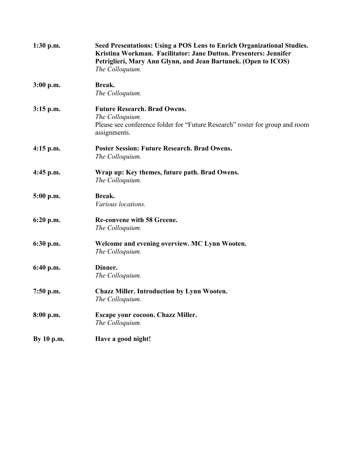| $1:30$ p.m. | Seed Presentations: Using a POS Lens to Enrich Organizational Studies.<br>Kristina Workman. Facilitator: Jane Dutton. Presenters: Jennifer<br>Petriglieri, Mary Ann Glynn, and Jean Bartunek. (Open to ICOS)<br>The Colloquium. |
|-------------|---------------------------------------------------------------------------------------------------------------------------------------------------------------------------------------------------------------------------------|
| 3:00 p.m.   | Break.<br>The Colloquium.                                                                                                                                                                                                       |
| $3:15$ p.m. | <b>Future Research. Brad Owens.</b><br>The Colloquium.<br>Please see conference folder for "Future Research" roster for group and room<br>assignments.                                                                          |
| $4:15$ p.m. | <b>Poster Session: Future Research. Brad Owens.</b><br>The Colloquium.                                                                                                                                                          |
| $4:45$ p.m. | Wrap up: Key themes, future path. Brad Owens.<br>The Colloquium.                                                                                                                                                                |
| $5:00$ p.m. | Break.<br>Various locations.                                                                                                                                                                                                    |
| 6:20 p.m.   | <b>Re-convene with 58 Greene.</b><br>The Colloquium.                                                                                                                                                                            |
| $6:30$ p.m. | Welcome and evening overview. MC Lynn Wooten.<br>The Colloquium.                                                                                                                                                                |
| $6:40$ p.m. | Dinner.<br>The Colloquium.                                                                                                                                                                                                      |
| $7:50$ p.m. | <b>Chazz Miller. Introduction by Lynn Wooten.</b><br>The Colloquium.                                                                                                                                                            |
| 8:00 p.m.   | Escape your cocoon. Chazz Miller.<br>The Colloquium.                                                                                                                                                                            |
| By 10 p.m.  | Have a good night!                                                                                                                                                                                                              |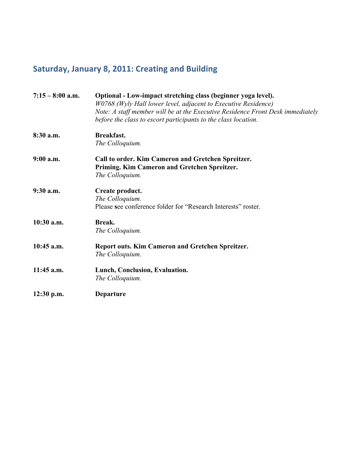# **Saturday, January 8, 2011: Creating and Building**

| $7:15 - 8:00$ a.m. | Optional - Low-impact stretching class (beginner yoga level).<br>W0768 (Wyly Hall lower level, adjacent to Executive Residence)<br>Note: A staff member will be at the Executive Residence Front Desk immediately<br>before the class to escort participants to the class location. |
|--------------------|-------------------------------------------------------------------------------------------------------------------------------------------------------------------------------------------------------------------------------------------------------------------------------------|
| $8:30$ a.m.        | <b>Breakfast.</b><br>The Colloquium.                                                                                                                                                                                                                                                |
| $9:00$ a.m.        | Call to order. Kim Cameron and Gretchen Spreitzer.<br>Priming. Kim Cameron and Gretchen Spreitzer.<br>The Colloquium.                                                                                                                                                               |
| $9:30$ a.m.        | Create product.<br>The Colloquium.<br>Please see conference folder for "Research Interests" roster.                                                                                                                                                                                 |
| 10:30 a.m.         | Break.<br>The Colloquium.                                                                                                                                                                                                                                                           |
| 10:45 a.m.         | Report outs. Kim Cameron and Gretchen Spreitzer.<br>The Colloquium.                                                                                                                                                                                                                 |
| $11:45$ a.m.       | Lunch, Conclusion, Evaluation.<br>The Colloquium.                                                                                                                                                                                                                                   |
| $12:30$ p.m.       | <b>Departure</b>                                                                                                                                                                                                                                                                    |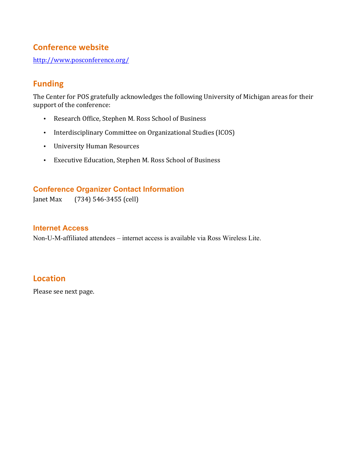# **Conference website**

http://www.posconference.org/

# **Funding**

The Center for POS gratefully acknowledges the following University of Michigan areas for their support of the conference:

- Research Office, Stephen M. Ross School of Business
- Interdisciplinary Committee on Organizational Studies (ICOS)
- University Human Resources
- Executive Education, Stephen M. Ross School of Business

## **Conference Organizer Contact Information**

Janet Max (734) 546-3455 (cell)

#### **Internet Access**

Non-U-M-affiliated attendees – internet access is available via Ross Wireless Lite.

## **Location**

Please see next page.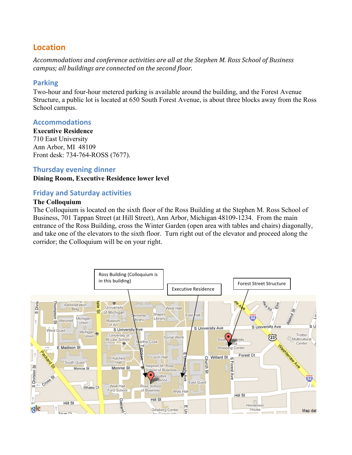# **Location**

Accommodations and conference activities are all at the Stephen M. Ross School of Business *campus; all buildings are connected on the second floor.* 

### **Parking**

Two-hour and four-hour metered parking is available around the building, and the Forest Avenue Structure, a public lot is located at 650 South Forest Avenue, is about three blocks away from the Ross School campus.

### **Accommodations**

**Executive Residence** 710 East University Ann Arbor, MI 48109 Front desk: 734-764-ROSS (7677).

#### **Thursday evening dinner**

**Dining Room, Executive Residence lower level**

### **Friday and Saturday activities**

#### **The Colloquium**

The Colloquium is located on the sixth floor of the Ross Building at the Stephen M. Ross School of Business, 701 Tappan Street (at Hill Street), Ann Arbor, Michigan 48109-1234. From the main entrance of the Ross Building, cross the Winter Garden (open area with tables and chairs) diagonally, and take one of the elevators to the sixth floor. Turn right out of the elevator and proceed along the corridor; the Colloquium will be on your right.